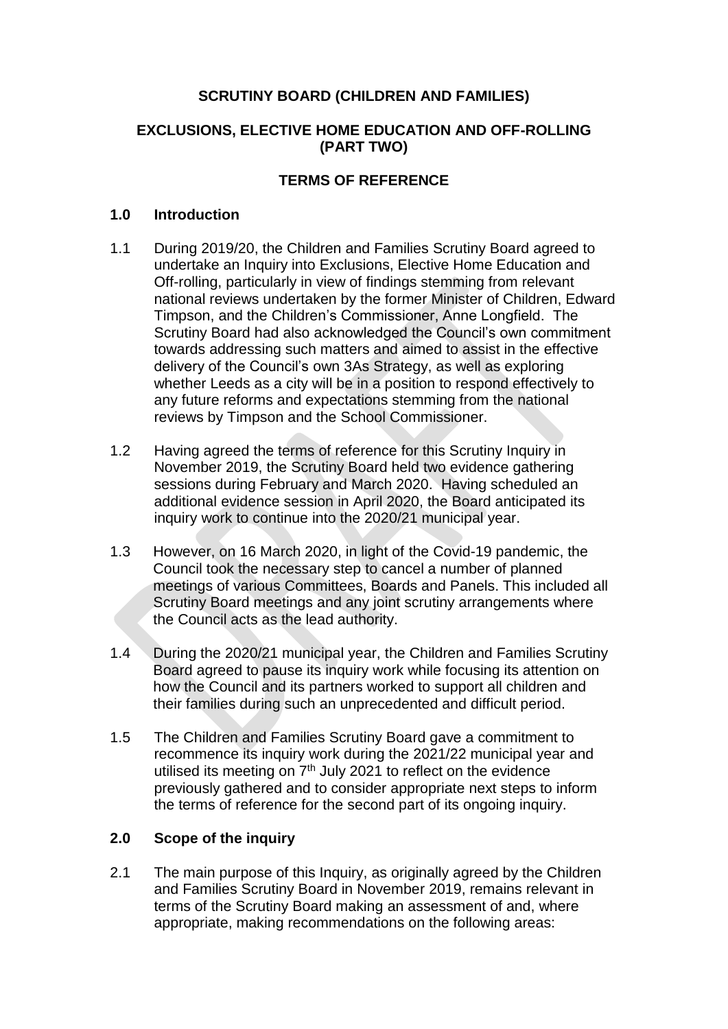### **SCRUTINY BOARD (CHILDREN AND FAMILIES)**

#### **EXCLUSIONS, ELECTIVE HOME EDUCATION AND OFF-ROLLING (PART TWO)**

### **TERMS OF REFERENCE**

#### **1.0 Introduction**

- 1.1 During 2019/20, the Children and Families Scrutiny Board agreed to undertake an Inquiry into Exclusions, Elective Home Education and Off-rolling, particularly in view of findings stemming from relevant national reviews undertaken by the former Minister of Children, Edward Timpson, and the Children's Commissioner, Anne Longfield. The Scrutiny Board had also acknowledged the Council's own commitment towards addressing such matters and aimed to assist in the effective delivery of the Council's own 3As Strategy, as well as exploring whether Leeds as a city will be in a position to respond effectively to any future reforms and expectations stemming from the national reviews by Timpson and the School Commissioner.
- 1.2 Having agreed the terms of reference for this Scrutiny Inquiry in November 2019, the Scrutiny Board held two evidence gathering sessions during February and March 2020. Having scheduled an additional evidence session in April 2020, the Board anticipated its inquiry work to continue into the 2020/21 municipal year.
- 1.3 However, on 16 March 2020, in light of the Covid-19 pandemic, the Council took the necessary step to cancel a number of planned meetings of various Committees, Boards and Panels. This included all Scrutiny Board meetings and any joint scrutiny arrangements where the Council acts as the lead authority.
- 1.4 During the 2020/21 municipal year, the Children and Families Scrutiny Board agreed to pause its inquiry work while focusing its attention on how the Council and its partners worked to support all children and their families during such an unprecedented and difficult period.
- 1.5 The Children and Families Scrutiny Board gave a commitment to recommence its inquiry work during the 2021/22 municipal year and utilised its meeting on 7<sup>th</sup> July 2021 to reflect on the evidence previously gathered and to consider appropriate next steps to inform the terms of reference for the second part of its ongoing inquiry.

## **2.0 Scope of the inquiry**

2.1 The main purpose of this Inquiry, as originally agreed by the Children and Families Scrutiny Board in November 2019, remains relevant in terms of the Scrutiny Board making an assessment of and, where appropriate, making recommendations on the following areas: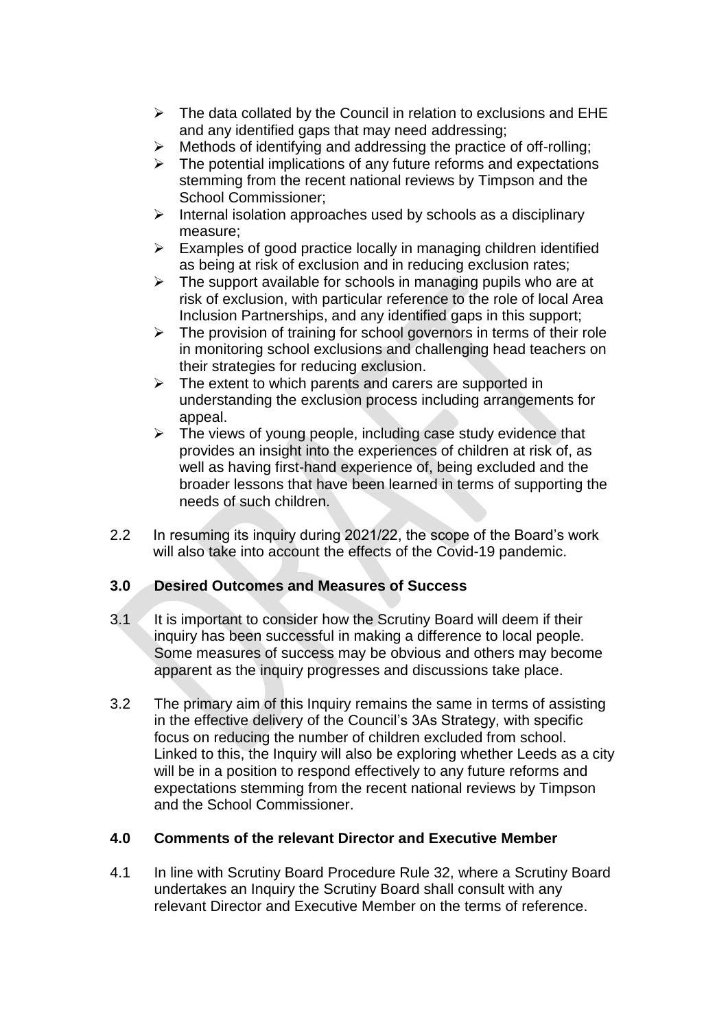- $\triangleright$  The data collated by the Council in relation to exclusions and EHE and any identified gaps that may need addressing;
- $\triangleright$  Methods of identifying and addressing the practice of off-rolling:
- $\triangleright$  The potential implications of any future reforms and expectations stemming from the recent national reviews by Timpson and the School Commissioner;
- $\triangleright$  Internal isolation approaches used by schools as a disciplinary measure;
- $\triangleright$  Examples of good practice locally in managing children identified as being at risk of exclusion and in reducing exclusion rates;
- $\triangleright$  The support available for schools in managing pupils who are at risk of exclusion, with particular reference to the role of local Area Inclusion Partnerships, and any identified gaps in this support;
- $\triangleright$  The provision of training for school governors in terms of their role in monitoring school exclusions and challenging head teachers on their strategies for reducing exclusion.
- $\triangleright$  The extent to which parents and carers are supported in understanding the exclusion process including arrangements for appeal.
- $\triangleright$  The views of young people, including case study evidence that provides an insight into the experiences of children at risk of, as well as having first-hand experience of, being excluded and the broader lessons that have been learned in terms of supporting the needs of such children.
- 2.2 In resuming its inquiry during 2021/22, the scope of the Board's work will also take into account the effects of the Covid-19 pandemic.

## **3.0 Desired Outcomes and Measures of Success**

- $3.1$  It is important to consider how the Scrutiny Board will deem if their inquiry has been successful in making a difference to local people. Some measures of success may be obvious and others may become apparent as the inquiry progresses and discussions take place.
- 3.2 The primary aim of this Inquiry remains the same in terms of assisting in the effective delivery of the Council's 3As Strategy, with specific focus on reducing the number of children excluded from school. Linked to this, the Inquiry will also be exploring whether Leeds as a city will be in a position to respond effectively to any future reforms and expectations stemming from the recent national reviews by Timpson and the School Commissioner.

## **4.0 Comments of the relevant Director and Executive Member**

4.1 In line with Scrutiny Board Procedure Rule 32, where a Scrutiny Board undertakes an Inquiry the Scrutiny Board shall consult with any relevant Director and Executive Member on the terms of reference.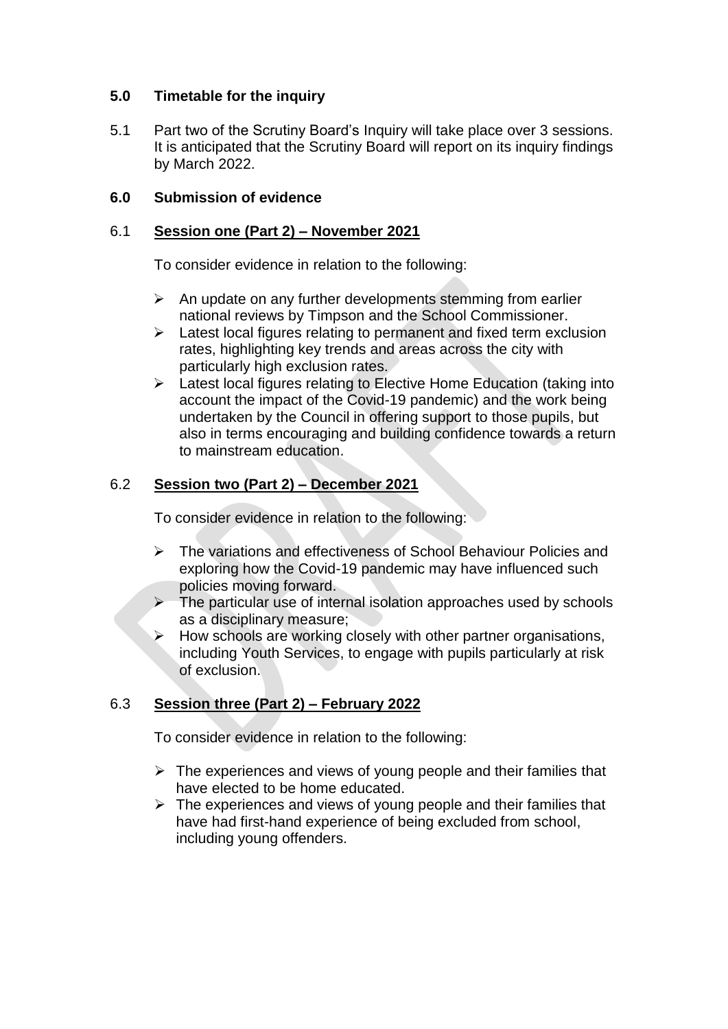### **5.0 Timetable for the inquiry**

5.1 Part two of the Scrutiny Board's Inquiry will take place over 3 sessions. It is anticipated that the Scrutiny Board will report on its inquiry findings by March 2022.

### **6.0 Submission of evidence**

#### 6.1 **Session one (Part 2) – November 2021**

To consider evidence in relation to the following:

- $\triangleright$  An update on any further developments stemming from earlier national reviews by Timpson and the School Commissioner.
- $\triangleright$  Latest local figures relating to permanent and fixed term exclusion rates, highlighting key trends and areas across the city with particularly high exclusion rates.
- $\triangleright$  Latest local figures relating to Elective Home Education (taking into account the impact of the Covid-19 pandemic) and the work being undertaken by the Council in offering support to those pupils, but also in terms encouraging and building confidence towards a return to mainstream education.

### 6.2 **Session two (Part 2) – December 2021**

To consider evidence in relation to the following:

- The variations and effectiveness of School Behaviour Policies and exploring how the Covid-19 pandemic may have influenced such policies moving forward.
- The particular use of internal isolation approaches used by schools as a disciplinary measure;
- $\triangleright$  How schools are working closely with other partner organisations, including Youth Services, to engage with pupils particularly at risk of exclusion.

## 6.3 **Session three (Part 2) – February 2022**

To consider evidence in relation to the following:

- $\triangleright$  The experiences and views of young people and their families that have elected to be home educated.
- $\triangleright$  The experiences and views of young people and their families that have had first-hand experience of being excluded from school, including young offenders.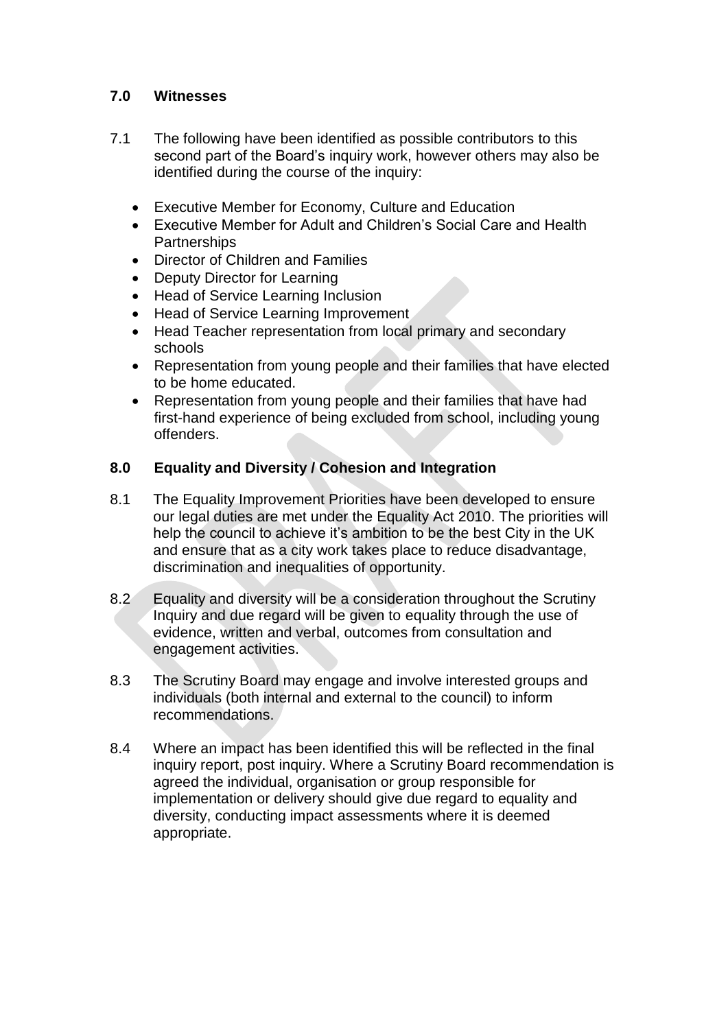## **7.0 Witnesses**

- 7.1 The following have been identified as possible contributors to this second part of the Board's inquiry work, however others may also be identified during the course of the inquiry:
	- Executive Member for Economy, Culture and Education
	- Executive Member for Adult and Children's Social Care and Health **Partnerships**
	- Director of Children and Families
	- Deputy Director for Learning
	- Head of Service Learning Inclusion
	- Head of Service Learning Improvement
	- Head Teacher representation from local primary and secondary schools
	- Representation from young people and their families that have elected to be home educated.
	- Representation from young people and their families that have had first-hand experience of being excluded from school, including young offenders.

### **8.0 Equality and Diversity / Cohesion and Integration**

- 8.1 The Equality Improvement Priorities have been developed to ensure our legal duties are met under the Equality Act 2010. The priorities will help the council to achieve it's ambition to be the best City in the UK and ensure that as a city work takes place to reduce disadvantage, discrimination and inequalities of opportunity.
- 8.2 Equality and diversity will be a consideration throughout the Scrutiny Inquiry and due regard will be given to equality through the use of evidence, written and verbal, outcomes from consultation and engagement activities.
- 8.3 The Scrutiny Board may engage and involve interested groups and individuals (both internal and external to the council) to inform recommendations.
- 8.4 Where an impact has been identified this will be reflected in the final inquiry report, post inquiry. Where a Scrutiny Board recommendation is agreed the individual, organisation or group responsible for implementation or delivery should give due regard to equality and diversity, conducting impact assessments where it is deemed appropriate.